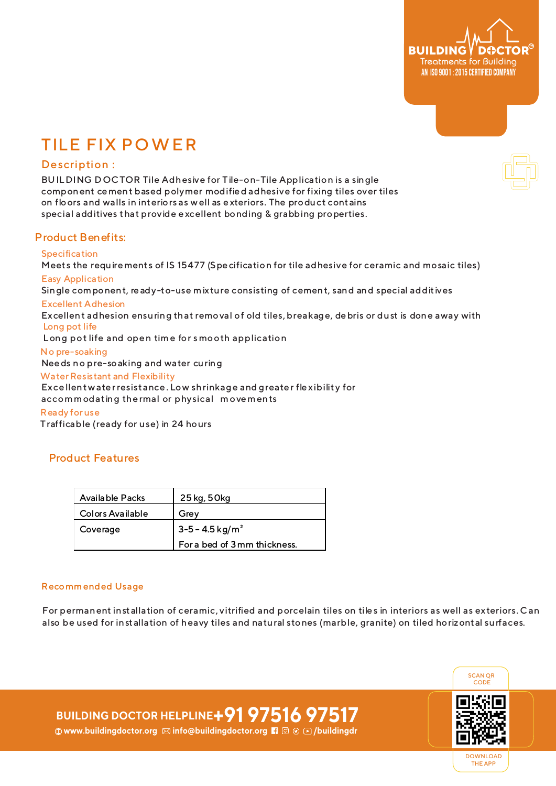

# TILE FIX POWER

# Description :

BUILDING DOCTOR Tile Adhesive for Tile-on-Tile Application is a single component cement based polymer modified adhesive for fixing tiles over tiles on floors and walls in interiors as well as exteriors. The product contains special additives that provide excellent bonding & grabbing properties.

# Product Benefits:

#### **Specification**

Meets the requirements of IS 15477 (Specification for tile adhesive for ceramic and mosaic tiles) Easy Application

Single component, ready-to-use mixture consisting of cement, sand and special additives

### Excellent Adhesion

Excellent adhesion ensuring that removal of old tiles, breakage, debris or dust is done away with Long pot life

Long pot life and open time for s mooth application

#### No pre-soaking

Needs no pre-soaking and water curing

#### Water Resistant and Flexibility

 Excellentwaterresistance. Low shrinkage and greater flexibility for accommodating thermal or physical movements

#### Ready for use

Trafficable (ready for use) in 24 hours

# Product Features

| Available Packs  | 25 kg, 50 kg                    |
|------------------|---------------------------------|
| Colors Available | Grey                            |
| Coverage         | $3 - 5 - 4.5$ kg/m <sup>2</sup> |
|                  | For a bed of 3mm thickness.     |

#### Recommended Usage

For permanent installation of ceramic, vitrified and porcelain tiles on tiles in interiors as well as exteriors. Can also be used for installation of heavy tiles and natural stones (marble, granite) on tiled horizontal surfaces.



**BUILDING DOCTOR HELPLINE+91 97516 97517 <b>
Www.buildingdoctor.org ⊠ info@buildingdoctor.org Fi** © ⊙ ⊙ /buildingdr



DOWNLOAD THE APP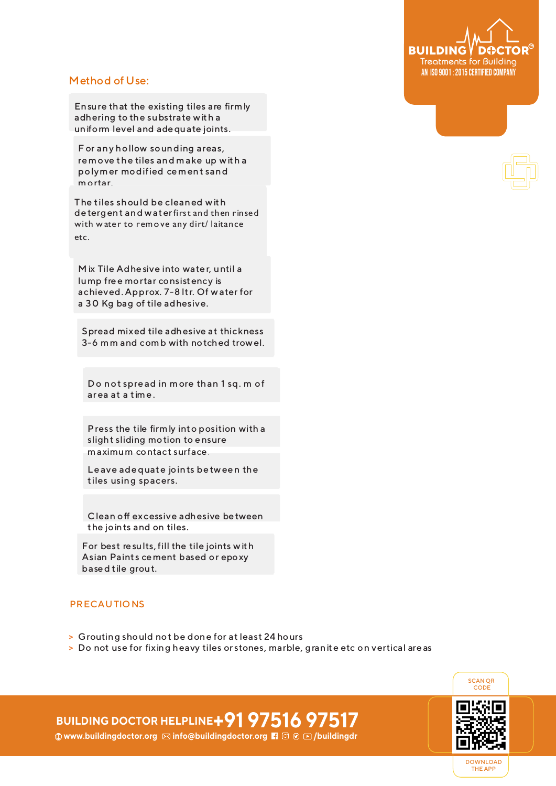

# Method of Use:

Ensure that the existing tiles are firmly adhering to the substrate with a uniform level and adequate joints.

F or any hollow sounding areas, remove the tiles and make up with a polymer modified cement sand mortar.

The tiles should be cleaned with de tergent and waterfirst and then rinsed with water to remove any dirt/ laitance etc.

M ix Tile Adhe sive into wate r, until a lump fre e mortar consistency is achieved. Approx. 7-8 ltr. Of water for a 30 Kg bag of tile adhesive.

Spread mixed tile adhesive at thickness 3-6 mm and comb with notched trowel.

Do not spre ad in more than 1 sq. m of ar ea at a time .

Press the tile firmly into position with a slight sliding motion to ensure maximum contact surface .

Le ave adequate joints be tween the tiles using spacers.

Clean off excessive adhesive be tween the joints and on tiles.

For best re sults, fill the tile joints with Asian Paints cement based or epoxy based tile grout.

### **PRECAUTIONS**

- **>** Grouting should not be done for at least 24 hours
- **>** Do not use for fixing heavy tiles or stones, marble, granite etc on vertical are as



# **BUILDING DOCTOR HELPLINE+91 97516 97517**  $\textcircled{w}$  **www.buildingdoctor.org**  $\textcircled{z}$  **info@buildingdoctor.org <b>7**  $\textcircled{z}$   $\textcircled{z}$  /buildingdr

DOWNLOAD THE APP